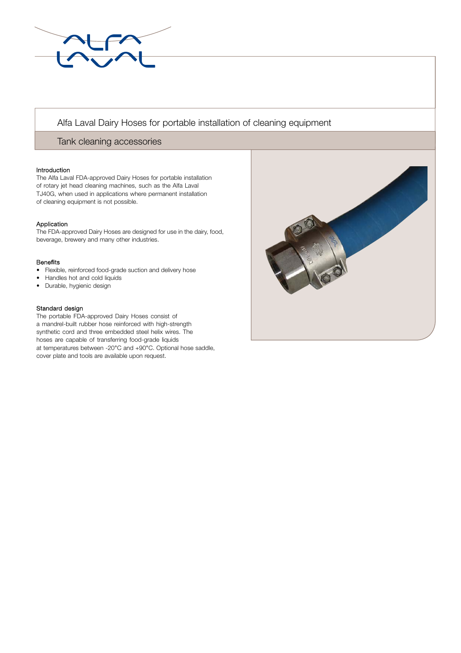

# Alfa Laval Dairy Hoses for portable installation of cleaning equipment

# Tank cleaning accessories

## Introduction

The Alfa Laval FDA-approved Dairy Hoses for portable installation of rotary jet head cleaning machines, such as the Alfa Laval TJ40G, when used in applications where permanent installation of cleaning equipment is not possible.

# Application

The FDA-approved Dairy Hoses are designed for use in the dairy, food, beverage, brewery and many other industries.

## Bene**fi**ts

- Flexible, reinforced food-grade suction and delivery hose
- Handles hot and cold liquids
- Durable, hygienic design

## Standard design

. cover plate and tools are available upon request.The portable FDA-approved Dairy Hoses consist of a mandrel-built rubber hose reinforced with high-strength synthetic cord and three embedded steel helix wires. The hoses are capable of transferring food-grade liquids at temperatures between -20°C and +90°C. Optional hose saddle,